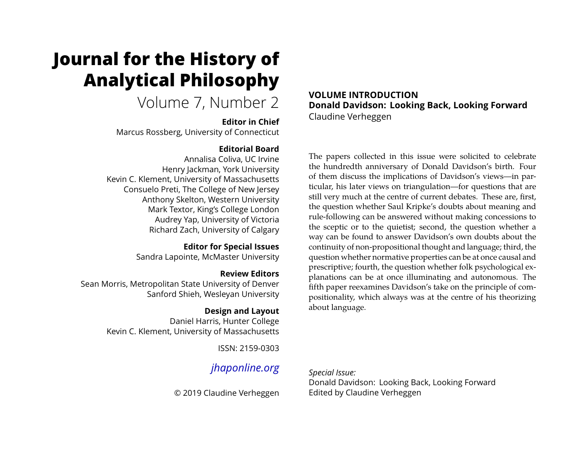# **Journal for the History of Analytical Philosophy**

# Volume 7, Number 2

### **Editor in Chief**

Marcus Rossberg, University of Connecticut

### **Editorial Board**

Annalisa Coliva, UC Irvine Henry Jackman, York University Kevin C. Klement, University of Massachusetts Consuelo Preti, The College of New Jersey Anthony Skelton, Western University Mark Textor, King's College London Audrey Yap, University of Victoria Richard Zach, University of Calgary

#### **Editor for Special Issues** Sandra Lapointe, McMaster University

### **Review Editors**

Sean Morris, Metropolitan State University of Denver Sanford Shieh, Wesleyan University

### **Design and Layout**

Daniel Harris, Hunter College Kevin C. Klement, University of Massachusetts

ISSN: 2159-0303

## *[jhaponline.org](https://jhaponline.org)*

© 2019 Claudine Verheggen

**VOLUME INTRODUCTION Donald Davidson: Looking Back, Looking Forward** Claudine Verheggen

The papers collected in this issue were solicited to celebrate the hundredth anniversary of Donald Davidson's birth. Four of them discuss the implications of Davidson's views—in particular, his later views on triangulation—for questions that are still very much at the centre of current debates. These are, first, the question whether Saul Kripke's doubts about meaning and rule-following can be answered without making concessions to the sceptic or to the quietist; second, the question whether a way can be found to answer Davidson's own doubts about the continuity of non-propositional thought and language; third, the question whether normative properties can be at once causal and prescriptive; fourth, the question whether folk psychological explanations can be at once illuminating and autonomous. The fifth paper reexamines Davidson's take on the principle of compositionality, which always was at the centre of his theorizing about language.

*Special Issue:* Donald Davidson: Looking Back, Looking Forward Edited by Claudine Verheggen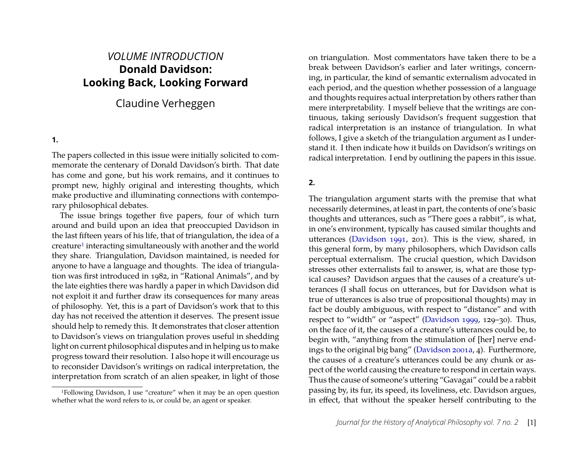### *VOLUME INTRODUCTION* **Donald Davidson: Looking Back, Looking Forward**

### Claudine Verheggen

#### **1.**

The papers collected in this issue were initially solicited to commemorate the centenary of Donald Davidson's birth. That date has come and gone, but his work remains, and it continues to prompt new, highly original and interesting thoughts, which make productive and illuminating connections with contemporary philosophical debates.

The issue brings together five papers, four of which turn around and build upon an idea that preoccupied Davidson in the last fifteen years of his life, that of triangulation, the idea of a creature<sup>1</sup> interacting simultaneously with another and the world they share. Triangulation, Davidson maintained, is needed for anyone to have a language and thoughts. The idea of triangulation was first introduced in 1982, in "Rational Animals", and by the late eighties there was hardly a paper in which Davidson did not exploit it and further draw its consequences for many areas of philosophy. Yet, this is a part of Davidson's work that to this day has not received the attention it deserves. The present issue should help to remedy this. It demonstrates that closer attention to Davidson's views on triangulation proves useful in shedding light on current philosophical disputes and in helping us to make progress toward their resolution. I also hope it will encourage us to reconsider Davidson's writings on radical interpretation, the interpretation from scratch of an alien speaker, in light of those

on triangulation. Most commentators have taken there to be a break between Davidson's earlier and later writings, concerning, in particular, the kind of semantic externalism advocated in each period, and the question whether possession of a language and thoughts requires actual interpretation by others rather than mere interpretability. I myself believe that the writings are continuous, taking seriously Davidson's frequent suggestion that radical interpretation is an instance of triangulation. In what follows, I give a sketch of the triangulation argument as I understand it. I then indicate how it builds on Davidson's writings on radical interpretation. I end by outlining the papers in this issue.

### **2.**

The triangulation argument starts with the premise that what necessarily determines, at least in part, the contents of one's basic thoughts and utterances, such as "There goes a rabbit", is what, in one's environment, typically has caused similar thoughts and utterances [\(Davidson 1991,](#page-6-0) 201). This is the view, shared, in this general form, by many philosophers, which Davidson calls perceptual externalism. The crucial question, which Davidson stresses other externalists fail to answer, is, what are those typical causes? Davidson argues that the causes of a creature's utterances (I shall focus on utterances, but for Davidson what is true of utterances is also true of propositional thoughts) may in fact be doubly ambiguous, with respect to "distance" and with respect to "width" or "aspect" [\(Davidson 1999,](#page-6-1) 129–30). Thus, on the face of it, the causes of a creature's utterances could be, to begin with, "anything from the stimulation of [her] nerve endings to the original big bang" [\(Davidson 2001a,](#page-6-2) 4). Furthermore, the causes of a creature's utterances could be any chunk or aspect of the world causing the creature to respond in certain ways. Thus the cause of someone's uttering "Gavagai" could be a rabbit passing by, its fur, its speed, its loveliness, etc. Davidson argues, in effect, that without the speaker herself contributing to the

<span id="page-1-0"></span><sup>1</sup>Following Davidson, I use "creature" when it may be an open question whether what the word refers to is, or could be, an agent or speaker.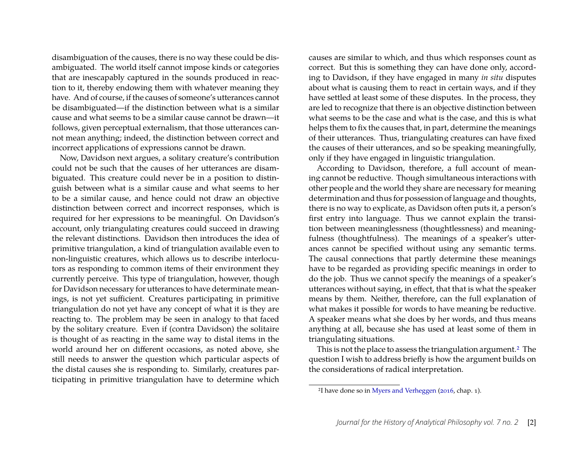disambiguation of the causes, there is no way these could be disambiguated. The world itself cannot impose kinds or categories that are inescapably captured in the sounds produced in reaction to it, thereby endowing them with whatever meaning they have. And of course, if the causes of someone's utterances cannot be disambiguated—if the distinction between what is a similar cause and what seems to be a similar cause cannot be drawn—it follows, given perceptual externalism, that those utterances cannot mean anything; indeed, the distinction between correct and incorrect applications of expressions cannot be drawn.

Now, Davidson next argues, a solitary creature's contribution could not be such that the causes of her utterances are disambiguated. This creature could never be in a position to distinguish between what is a similar cause and what seems to her to be a similar cause, and hence could not draw an objective distinction between correct and incorrect responses, which is required for her expressions to be meaningful. On Davidson's account, only triangulating creatures could succeed in drawing the relevant distinctions. Davidson then introduces the idea of primitive triangulation, a kind of triangulation available even to non-linguistic creatures, which allows us to describe interlocutors as responding to common items of their environment they currently perceive. This type of triangulation, however, though for Davidson necessary for utterances to have determinate meanings, is not yet sufficient. Creatures participating in primitive triangulation do not yet have any concept of what it is they are reacting to. The problem may be seen in analogy to that faced by the solitary creature. Even if (contra Davidson) the solitaire is thought of as reacting in the same way to distal items in the world around her on different occasions, as noted above, she still needs to answer the question which particular aspects of the distal causes she is responding to. Similarly, creatures participating in primitive triangulation have to determine which

causes are similar to which, and thus which responses count as correct. But this is something they can have done only, according to Davidson, if they have engaged in many *in situ* disputes about what is causing them to react in certain ways, and if they have settled at least some of these disputes. In the process, they are led to recognize that there is an objective distinction between what seems to be the case and what is the case, and this is what helps them to fix the causes that, in part, determine the meanings of their utterances. Thus, triangulating creatures can have fixed the causes of their utterances, and so be speaking meaningfully, only if they have engaged in linguistic triangulation.

According to Davidson, therefore, a full account of meaning cannot be reductive. Though simultaneous interactions with other people and the world they share are necessary for meaning determination and thus for possession of language and thoughts, there is no way to explicate, as Davidson often puts it, a person's first entry into language. Thus we cannot explain the transition between meaninglessness (thoughtlessness) and meaningfulness (thoughtfulness). The meanings of a speaker's utterances cannot be specified without using any semantic terms. The causal connections that partly determine these meanings have to be regarded as providing specific meanings in order to do the job. Thus we cannot specify the meanings of a speaker's utterances without saying, in effect, that that is what the speaker means by them. Neither, therefore, can the full explanation of what makes it possible for words to have meaning be reductive. A speaker means what she does by her words, and thus means anything at all, because she has used at least some of them in triangulating situations.

This is not the place to assess the triangulation argument[.2](#page-2-0) The question I wish to address briefly is how the argument builds on the considerations of radical interpretation.

<span id="page-2-0"></span><sup>2</sup>I have done so in [Myers and Verheggen](#page-6-3) ([2016,](#page-6-3) chap. 1).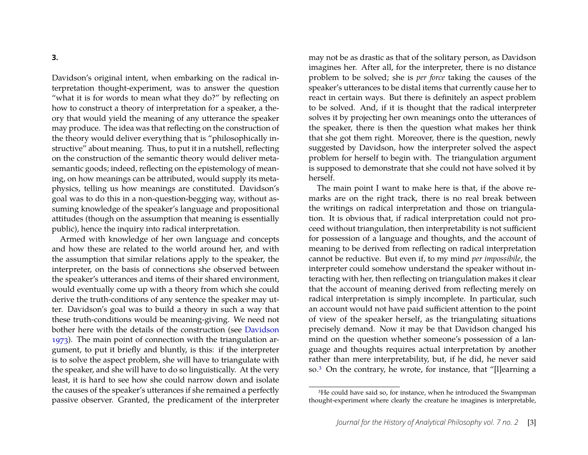Davidson's original intent, when embarking on the radical interpretation thought-experiment, was to answer the question "what it is for words to mean what they do?" by reflecting on how to construct a theory of interpretation for a speaker, a theory that would yield the meaning of any utterance the speaker may produce. The idea was that reflecting on the construction of the theory would deliver everything that is "philosophically instructive" about meaning. Thus, to put it in a nutshell, reflecting on the construction of the semantic theory would deliver metasemantic goods; indeed, reflecting on the epistemology of meaning, on how meanings can be attributed, would supply its metaphysics, telling us how meanings are constituted. Davidson's goal was to do this in a non-question-begging way, without assuming knowledge of the speaker's language and propositional attitudes (though on the assumption that meaning is essentially public), hence the inquiry into radical interpretation.

Armed with knowledge of her own language and concepts and how these are related to the world around her, and with the assumption that similar relations apply to the speaker, the interpreter, on the basis of connections she observed between the speaker's utterances and items of their shared environment, would eventually come up with a theory from which she could derive the truth-conditions of any sentence the speaker may utter. Davidson's goal was to build a theory in such a way that these truth-conditions would be meaning-giving. We need not bother here with the details of the construction (see [Davidson](#page-6-4) [1973\)](#page-6-4). The main point of connection with the triangulation argument, to put it briefly and bluntly, is this: if the interpreter is to solve the aspect problem, she will have to triangulate with the speaker, and she will have to do so linguistically. At the very least, it is hard to see how she could narrow down and isolate the causes of the speaker's utterances if she remained a perfectly passive observer. Granted, the predicament of the interpreter may not be as drastic as that of the solitary person, as Davidson imagines her. After all, for the interpreter, there is no distance problem to be solved; she is *per force* taking the causes of the speaker's utterances to be distal items that currently cause her to react in certain ways. But there is definitely an aspect problem to be solved. And, if it is thought that the radical interpreter solves it by projecting her own meanings onto the utterances of the speaker, there is then the question what makes her think that she got them right. Moreover, there is the question, newly suggested by Davidson, how the interpreter solved the aspect problem for herself to begin with. The triangulation argument is supposed to demonstrate that she could not have solved it by herself.

The main point I want to make here is that, if the above remarks are on the right track, there is no real break between the writings on radical interpretation and those on triangulation. It is obvious that, if radical interpretation could not proceed without triangulation, then interpretability is not sufficient for possession of a language and thoughts, and the account of meaning to be derived from reflecting on radical interpretation cannot be reductive. But even if, to my mind *per impossibile*, the interpreter could somehow understand the speaker without interacting with her, then reflecting on triangulation makes it clear that the account of meaning derived from reflecting merely on radical interpretation is simply incomplete. In particular, such an account would not have paid sufficient attention to the point of view of the speaker herself, as the triangulating situations precisely demand. Now it may be that Davidson changed his mind on the question whether someone's possession of a language and thoughts requires actual interpretation by another rather than mere interpretability, but, if he did, he never said so.[3](#page-3-0) On the contrary, he wrote, for instance, that "[l]earning a

<span id="page-3-0"></span><sup>&</sup>lt;sup>3</sup>He could have said so, for instance, when he introduced the Swampman thought-experiment where clearly the creature he imagines is interpretable,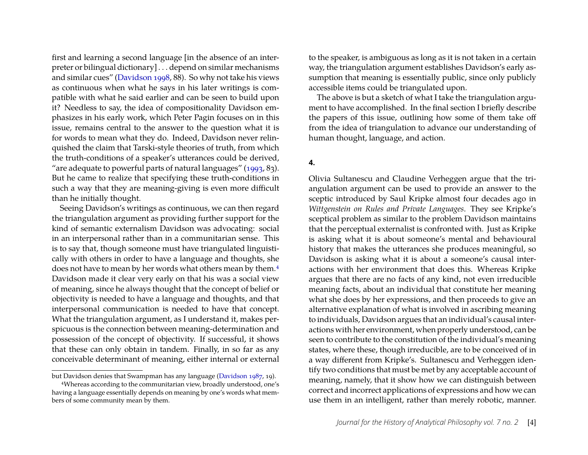first and learning a second language [in the absence of an interpreter or bilingual dictionary] . . . depend on similar mechanisms and similar cues" [\(Davidson](#page-6-5) [1998,](#page-6-5) 88). So why not take his views as continuous when what he says in his later writings is compatible with what he said earlier and can be seen to build upon it? Needless to say, the idea of compositionality Davidson emphasizes in his early work, which Peter Pagin focuses on in this issue, remains central to the answer to the question what it is for words to mean what they do. Indeed, Davidson never relinquished the claim that Tarski-style theories of truth, from which the truth-conditions of a speaker's utterances could be derived, "are adequate to powerful parts of natural languages" [\(1993,](#page-6-6) 83). But he came to realize that specifying these truth-conditions in such a way that they are meaning-giving is even more difficult than he initially thought.

Seeing Davidson's writings as continuous, we can then regard the triangulation argument as providing further support for the kind of semantic externalism Davidson was advocating: social in an interpersonal rather than in a communitarian sense. This is to say that, though someone must have triangulated linguistically with others in order to have a language and thoughts, she does not have to mean by her words what others mean by them.<sup>[4](#page-4-0)</sup> Davidson made it clear very early on that his was a social view of meaning, since he always thought that the concept of belief or objectivity is needed to have a language and thoughts, and that interpersonal communication is needed to have that concept. What the triangulation argument, as I understand it, makes perspicuous is the connection between meaning-determination and possession of the concept of objectivity. If successful, it shows that these can only obtain in tandem. Finally, in so far as any conceivable determinant of meaning, either internal or external to the speaker, is ambiguous as long as it is not taken in a certain way, the triangulation argument establishes Davidson's early assumption that meaning is essentially public, since only publicly accessible items could be triangulated upon.

The above is but a sketch of what I take the triangulation argument to have accomplished. In the final section I briefly describe the papers of this issue, outlining how some of them take off from the idea of triangulation to advance our understanding of human thought, language, and action.

#### **4.**

Olivia Sultanescu and Claudine Verheggen argue that the triangulation argument can be used to provide an answer to the sceptic introduced by Saul Kripke almost four decades ago in *Wittgenstein on Rules and Private Languages*. They see Kripke's sceptical problem as similar to the problem Davidson maintains that the perceptual externalist is confronted with. Just as Kripke is asking what it is about someone's mental and behavioural history that makes the utterances she produces meaningful, so Davidson is asking what it is about a someone's causal interactions with her environment that does this. Whereas Kripke argues that there are no facts of any kind, not even irreducible meaning facts, about an individual that constitute her meaning what she does by her expressions, and then proceeds to give an alternative explanation of what is involved in ascribing meaning to individuals, Davidson argues that an individual's causal interactions with her environment, when properly understood, can be seen to contribute to the constitution of the individual's meaning states, where these, though irreducible, are to be conceived of in a way different from Kripke's. Sultanescu and Verheggen identify two conditions that must be met by any acceptable account of meaning, namely, that it show how we can distinguish between correct and incorrect applications of expressions and how we can use them in an intelligent, rather than merely robotic, manner.

but Davidson denies that Swampman has any language [\(Davidson 1987,](#page-6-7) 19).

<span id="page-4-0"></span><sup>4</sup>Whereas according to the communitarian view, broadly understood, one's having a language essentially depends on meaning by one's words what members of some community mean by them.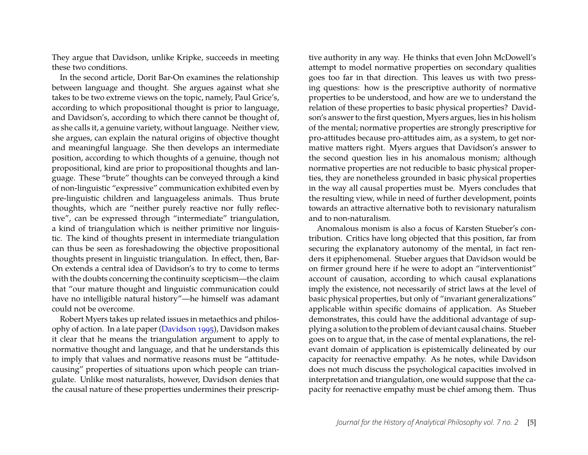They argue that Davidson, unlike Kripke, succeeds in meeting these two conditions.

In the second article, Dorit Bar-On examines the relationship between language and thought. She argues against what she takes to be two extreme views on the topic, namely, Paul Grice's, according to which propositional thought is prior to language, and Davidson's, according to which there cannot be thought of, as she calls it, a genuine variety, without language. Neither view, she argues, can explain the natural origins of objective thought and meaningful language. She then develops an intermediate position, according to which thoughts of a genuine, though not propositional, kind are prior to propositional thoughts and language. These "brute" thoughts can be conveyed through a kind of non-linguistic "expressive" communication exhibited even by pre-linguistic children and languageless animals. Thus brute thoughts, which are "neither purely reactive nor fully reflective", can be expressed through "intermediate" triangulation, a kind of triangulation which is neither primitive nor linguistic. The kind of thoughts present in intermediate triangulation can thus be seen as foreshadowing the objective propositional thoughts present in linguistic triangulation. In effect, then, Bar-On extends a central idea of Davidson's to try to come to terms with the doubts concerning the continuity scepticism—the claim that "our mature thought and linguistic communication could have no intelligible natural history"—he himself was adamant could not be overcome.

Robert Myers takes up related issues in metaethics and philosophy of action. In a late paper [\(Davidson](#page-6-8) [1995\)](#page-6-8), Davidson makes it clear that he means the triangulation argument to apply to normative thought and language, and that he understands this to imply that values and normative reasons must be "attitudecausing" properties of situations upon which people can triangulate. Unlike most naturalists, however, Davidson denies that the causal nature of these properties undermines their prescrip-

tive authority in any way. He thinks that even John McDowell's attempt to model normative properties on secondary qualities goes too far in that direction. This leaves us with two pressing questions: how is the prescriptive authority of normative properties to be understood, and how are we to understand the relation of these properties to basic physical properties? Davidson's answer to the first question, Myers argues, lies in his holism of the mental; normative properties are strongly prescriptive for pro-attitudes because pro-attitudes aim, as a system, to get normative matters right. Myers argues that Davidson's answer to the second question lies in his anomalous monism; although normative properties are not reducible to basic physical properties, they are nonetheless grounded in basic physical properties in the way all causal properties must be. Myers concludes that the resulting view, while in need of further development, points towards an attractive alternative both to revisionary naturalism and to non-naturalism.

Anomalous monism is also a focus of Karsten Stueber's contribution. Critics have long objected that this position, far from securing the explanatory autonomy of the mental, in fact renders it epiphenomenal. Stueber argues that Davidson would be on firmer ground here if he were to adopt an "interventionist" account of causation, according to which causal explanations imply the existence, not necessarily of strict laws at the level of basic physical properties, but only of "invariant generalizations" applicable within specific domains of application. As Stueber demonstrates, this could have the additional advantage of supplying a solution to the problem of deviant causal chains. Stueber goes on to argue that, in the case of mental explanations, the relevant domain of application is epistemically delineated by our capacity for reenactive empathy. As he notes, while Davidson does not much discuss the psychological capacities involved in interpretation and triangulation, one would suppose that the capacity for reenactive empathy must be chief among them. Thus